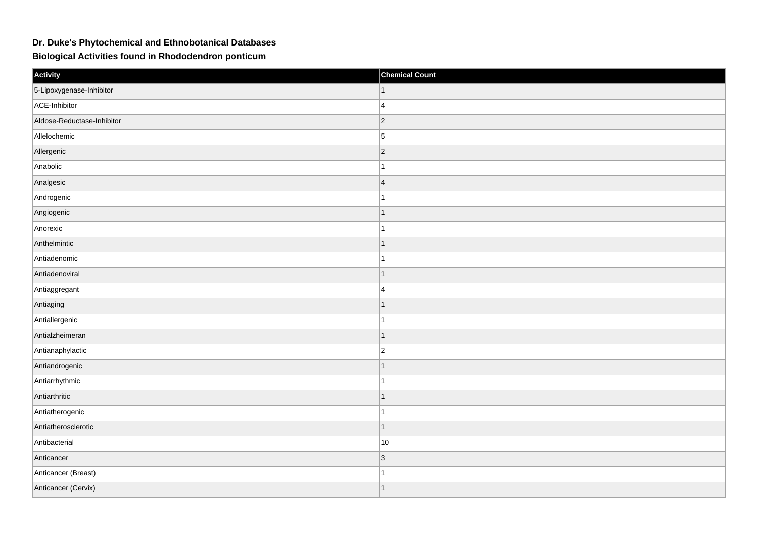## **Dr. Duke's Phytochemical and Ethnobotanical Databases**

**Biological Activities found in Rhododendron ponticum**

| Activity                   | <b>Chemical Count</b> |
|----------------------------|-----------------------|
| 5-Lipoxygenase-Inhibitor   | 1                     |
| ACE-Inhibitor              | $\overline{4}$        |
| Aldose-Reductase-Inhibitor | $ 2\rangle$           |
| Allelochemic               | $\vert$ 5             |
| Allergenic                 | $ 2\rangle$           |
| Anabolic                   | 1                     |
| Analgesic                  | $\overline{4}$        |
| Androgenic                 | 1                     |
| Angiogenic                 | 1                     |
| Anorexic                   | $\overline{1}$        |
| Anthelmintic               | $\mathbf{1}$          |
| Antiadenomic               | 1                     |
| Antiadenoviral             | 1                     |
| Antiaggregant              | $\overline{4}$        |
| Antiaging                  | 1                     |
| Antiallergenic             | 1                     |
| Antialzheimeran            | $\mathbf{1}$          |
| Antianaphylactic           | $ 2\rangle$           |
| Antiandrogenic             | 1                     |
| Antiarrhythmic             | 1                     |
| Antiarthritic              | $\overline{1}$        |
| Antiatherogenic            | 1                     |
| Antiatherosclerotic        | $\mathbf{1}$          |
| Antibacterial              | $10$                  |
| Anticancer                 | $ 3\rangle$           |
| Anticancer (Breast)        | 1                     |
| Anticancer (Cervix)        | $\overline{1}$        |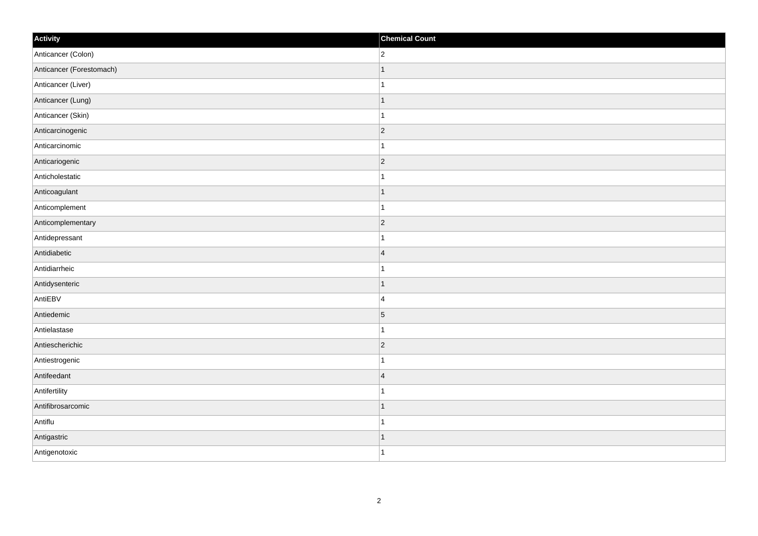| Activity                 | <b>Chemical Count</b> |
|--------------------------|-----------------------|
| Anticancer (Colon)       | $ 2\rangle$           |
| Anticancer (Forestomach) | $\overline{1}$        |
| Anticancer (Liver)       | 1                     |
| Anticancer (Lung)        | $\overline{1}$        |
| Anticancer (Skin)        | $\overline{1}$        |
| Anticarcinogenic         | $ 2\rangle$           |
| Anticarcinomic           | 1                     |
| Anticariogenic           | $ 2\rangle$           |
| Anticholestatic          | 1                     |
| Anticoagulant            | $\overline{1}$        |
| Anticomplement           | 1                     |
| Anticomplementary        | $ 2\rangle$           |
| Antidepressant           | 1                     |
| Antidiabetic             | $\overline{4}$        |
| Antidiarrheic            | 1                     |
| Antidysenteric           | $\mathbf{1}$          |
| AntiEBV                  | $\overline{4}$        |
| Antiedemic               | $\vert 5 \vert$       |
| Antielastase             | 1                     |
| Antiescherichic          | $ 2\rangle$           |
| Antiestrogenic           | 1                     |
| Antifeedant              | $\overline{4}$        |
| Antifertility            | 1                     |
| Antifibrosarcomic        | 1                     |
| Antiflu                  | 1                     |
| Antigastric              | 1                     |
| Antigenotoxic            | $\overline{1}$        |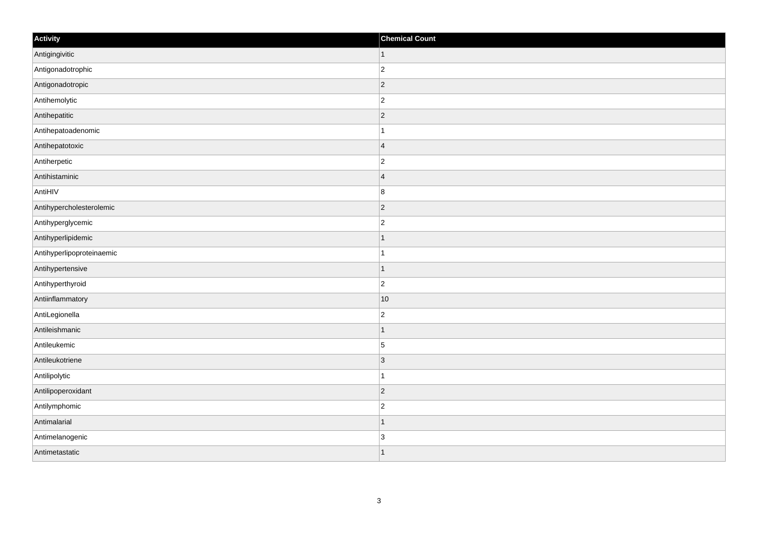| Activity                  | <b>Chemical Count</b>   |
|---------------------------|-------------------------|
| Antigingivitic            | $\vert$ 1               |
| Antigonadotrophic         | $\overline{2}$          |
| Antigonadotropic          | $ 2\rangle$             |
| Antihemolytic             | $\overline{c}$          |
| Antihepatitic             | $\overline{c}$          |
| Antihepatoadenomic        |                         |
| Antihepatotoxic           | $\overline{\mathbf{4}}$ |
| Antiherpetic              | $\overline{2}$          |
| Antihistaminic            | $\overline{4}$          |
| AntiHIV                   | $\bf 8$                 |
| Antihypercholesterolemic  | $\overline{2}$          |
| Antihyperglycemic         | $\overline{c}$          |
| Antihyperlipidemic        | $\vert$ 1               |
| Antihyperlipoproteinaemic | $\mathbf{1}$            |
| Antihypertensive          | $\mathbf 1$             |
| Antihyperthyroid          | $\overline{2}$          |
| Antiinflammatory          | 10                      |
| AntiLegionella            | $\overline{c}$          |
| Antileishmanic            | $\vert$ 1               |
| Antileukemic              | $\overline{5}$          |
| Antileukotriene           | 3                       |
| Antilipolytic             | $\mathbf{1}$            |
| Antilipoperoxidant        | $ 2\rangle$             |
| Antilymphomic             | $\overline{c}$          |
| Antimalarial              | $\mathbf{1}$            |
| Antimelanogenic           | $\overline{3}$          |
| Antimetastatic            | $\mathbf 1$             |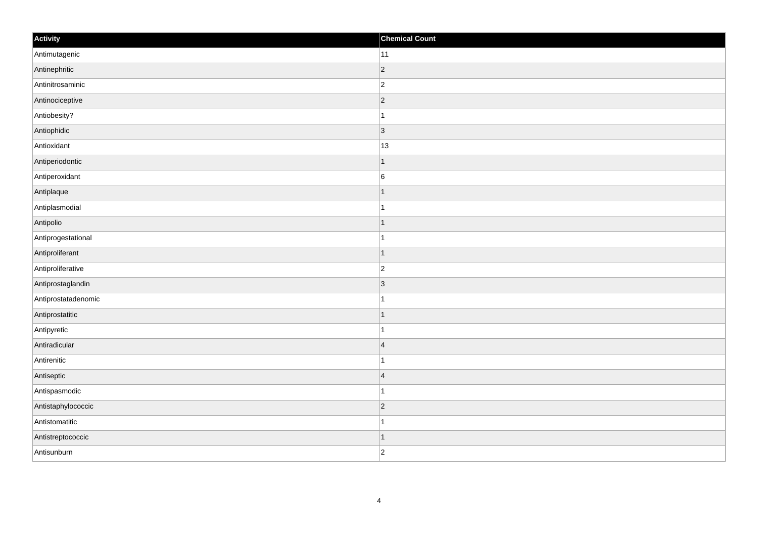| Activity            | <b>Chemical Count</b> |
|---------------------|-----------------------|
| Antimutagenic       | $ 11\rangle$          |
| Antinephritic       | $ 2\rangle$           |
| Antinitrosaminic    | $\vert$ 2             |
| Antinociceptive     | $ 2\rangle$           |
| Antiobesity?        | $\vert$ 1             |
| Antiophidic         | $ 3\rangle$           |
| Antioxidant         | 13                    |
| Antiperiodontic     | $\mathbf{1}$          |
| Antiperoxidant      | $\overline{6}$        |
| Antiplaque          | $\vert$ 1             |
| Antiplasmodial      | $\vert$ 1             |
| Antipolio           | $\mathbf{1}$          |
| Antiprogestational  | $\mathbf{1}$          |
| Antiproliferant     | $\vert$ 1             |
| Antiproliferative   | $ 2\rangle$           |
| Antiprostaglandin   | <sub>3</sub>          |
| Antiprostatadenomic | $\vert$ 1             |
| Antiprostatitic     | $\vert$ 1             |
| Antipyretic         | $\vert$ 1             |
| Antiradicular       | $\vert 4 \vert$       |
| Antirenitic         | $\mathbf{1}$          |
| Antiseptic          | $\vert 4$             |
| Antispasmodic       | $\mathbf{1}$          |
| Antistaphylococcic  | $\vert$ 2             |
| Antistomatitic      | $\vert$ 1             |
| Antistreptococcic   | $\vert$ 1             |
| Antisunburn         | $ 2\rangle$           |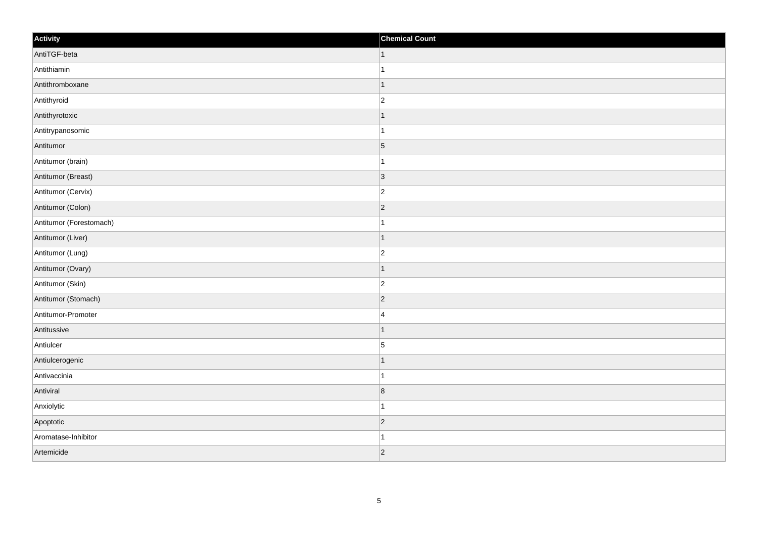| Activity                | <b>Chemical Count</b> |
|-------------------------|-----------------------|
| AntiTGF-beta            | $\vert$ 1             |
| Antithiamin             | $\mathbf{1}$          |
| Antithromboxane         | 1                     |
| Antithyroid             | $\overline{c}$        |
| Antithyrotoxic          |                       |
| Antitrypanosomic        |                       |
| Antitumor               | $\vert 5 \vert$       |
| Antitumor (brain)       | $\overline{1}$        |
| Antitumor (Breast)      | 3                     |
| Antitumor (Cervix)      | $\overline{c}$        |
| Antitumor (Colon)       | $\overline{2}$        |
| Antitumor (Forestomach) |                       |
| Antitumor (Liver)       | $\vert$ 1             |
| Antitumor (Lung)        | $\overline{c}$        |
| Antitumor (Ovary)       | 1                     |
| Antitumor (Skin)        | $ 2\rangle$           |
| Antitumor (Stomach)     | $\overline{2}$        |
| Antitumor-Promoter      | $\overline{4}$        |
| Antitussive             | $\vert$ 1             |
| Antiulcer               | $\overline{5}$        |
| Antiulcerogenic         | $\mathbf 1$           |
| Antivaccinia            | $\mathbf{1}$          |
| Antiviral               | 8                     |
| Anxiolytic              | $\mathbf 1$           |
| Apoptotic               | $ 2\rangle$           |
| Aromatase-Inhibitor     | 1                     |
| Artemicide              | $ 2\rangle$           |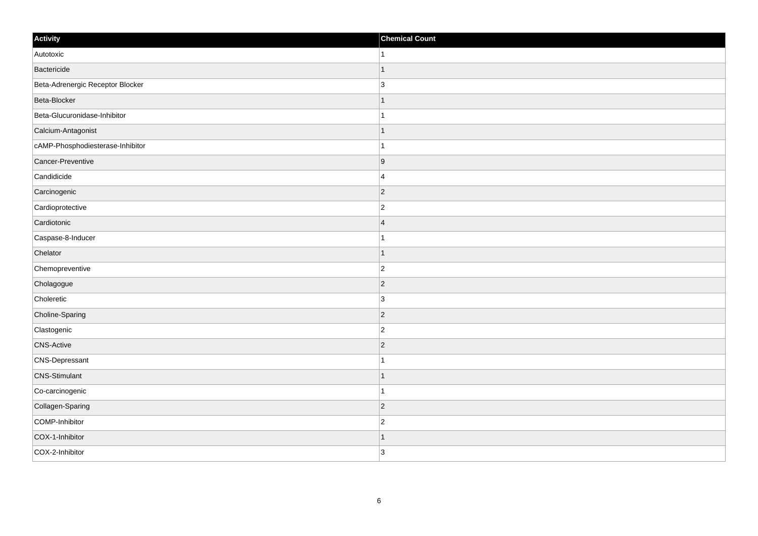| Activity                         | <b>Chemical Count</b> |
|----------------------------------|-----------------------|
| Autotoxic                        | $\mathbf{1}$          |
| Bactericide                      |                       |
| Beta-Adrenergic Receptor Blocker | 3                     |
| Beta-Blocker                     |                       |
| Beta-Glucuronidase-Inhibitor     |                       |
| Calcium-Antagonist               |                       |
| cAMP-Phosphodiesterase-Inhibitor |                       |
| Cancer-Preventive                | 9                     |
| Candidicide                      | $\overline{4}$        |
| Carcinogenic                     | $\vert$ 2             |
| Cardioprotective                 | $\overline{2}$        |
| Cardiotonic                      | 4                     |
| Caspase-8-Inducer                |                       |
| Chelator                         |                       |
| Chemopreventive                  | $\overline{2}$        |
| Cholagogue                       | $\vert$ 2             |
| Choleretic                       | $\overline{3}$        |
| Choline-Sparing                  | $\vert$ 2             |
| Clastogenic                      | $\overline{c}$        |
| <b>CNS-Active</b>                | $\overline{2}$        |
| CNS-Depressant                   |                       |
| <b>CNS-Stimulant</b>             |                       |
| Co-carcinogenic                  |                       |
| Collagen-Sparing                 | $\vert$ 2             |
| COMP-Inhibitor                   | $\overline{c}$        |
| COX-1-Inhibitor                  |                       |
| COX-2-Inhibitor                  | 3                     |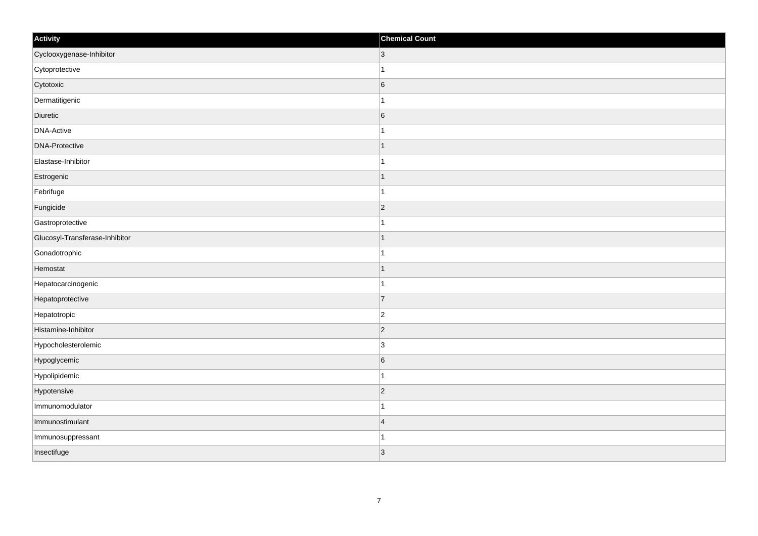| Activity                       | <b>Chemical Count</b> |
|--------------------------------|-----------------------|
| Cyclooxygenase-Inhibitor       | $\overline{3}$        |
| Cytoprotective                 |                       |
| Cytotoxic                      | $6\phantom{.}6$       |
| Dermatitigenic                 | $\mathbf 1$           |
| Diuretic                       | $6\phantom{.}6$       |
| <b>DNA-Active</b>              |                       |
| <b>DNA-Protective</b>          | 1                     |
| Elastase-Inhibitor             | $\mathbf{1}$          |
| Estrogenic                     | $\mathbf 1$           |
| Febrifuge                      | 1                     |
| Fungicide                      | $\overline{2}$        |
| Gastroprotective               |                       |
| Glucosyl-Transferase-Inhibitor | $\mathbf 1$           |
| Gonadotrophic                  | $\mathbf{1}$          |
| Hemostat                       | $\mathbf 1$           |
| Hepatocarcinogenic             | $\mathbf{1}$          |
| Hepatoprotective               | $\overline{7}$        |
| Hepatotropic                   | $\overline{c}$        |
| Histamine-Inhibitor            | $ 2\rangle$           |
| Hypocholesterolemic            | $\overline{3}$        |
| Hypoglycemic                   | 6                     |
| Hypolipidemic                  | $\mathbf{1}$          |
| Hypotensive                    | $\overline{2}$        |
| Immunomodulator                | $\overline{1}$        |
| Immunostimulant                | $\overline{4}$        |
| Immunosuppressant              | 1                     |
| Insectifuge                    | 3                     |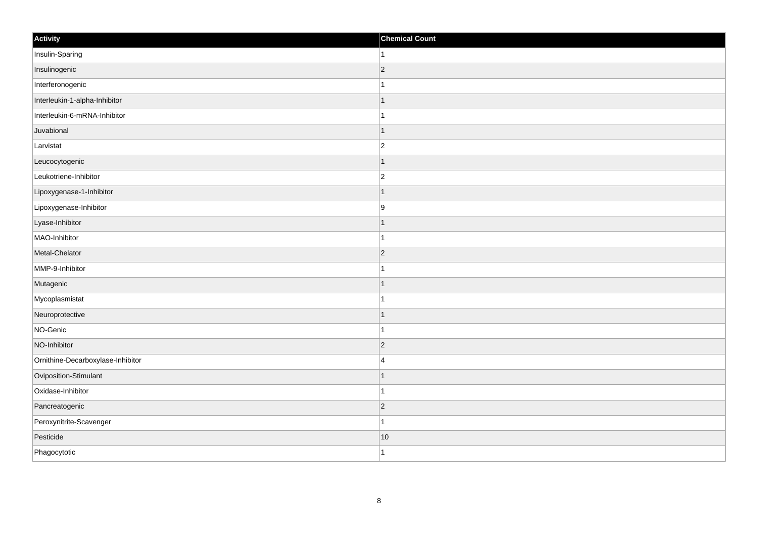| Activity                          | <b>Chemical Count</b> |
|-----------------------------------|-----------------------|
| Insulin-Sparing                   | $\mathbf{1}$          |
| Insulinogenic                     | $\vert$ 2             |
| Interferonogenic                  | 1                     |
| Interleukin-1-alpha-Inhibitor     | $\mathbf{1}$          |
| Interleukin-6-mRNA-Inhibitor      | $\mathbf{1}$          |
| Juvabional                        | $\mathbf{1}$          |
| Larvistat                         | $ 2\rangle$           |
| Leucocytogenic                    | $\mathbf{1}$          |
| Leukotriene-Inhibitor             | $\vert$ 2             |
| Lipoxygenase-1-Inhibitor          | $\vert$ 1             |
| Lipoxygenase-Inhibitor            | 9                     |
| Lyase-Inhibitor                   | $\mathbf{1}$          |
| MAO-Inhibitor                     | $\mathbf{1}$          |
| Metal-Chelator                    | $ 2\rangle$           |
| MMP-9-Inhibitor                   | $\mathbf{1}$          |
| Mutagenic                         | $\mathbf{1}$          |
| Mycoplasmistat                    | $\mathbf{1}$          |
| Neuroprotective                   | $\mathbf{1}$          |
| NO-Genic                          | $\mathbf{1}$          |
| NO-Inhibitor                      | $\overline{2}$        |
| Ornithine-Decarboxylase-Inhibitor | 4                     |
| Oviposition-Stimulant             | $\mathbf{1}$          |
| Oxidase-Inhibitor                 | $\mathbf{1}$          |
| Pancreatogenic                    | $\vert$ 2             |
| Peroxynitrite-Scavenger           | $\mathbf{1}$          |
| Pesticide                         | 10                    |
| Phagocytotic                      | $\vert$ 1             |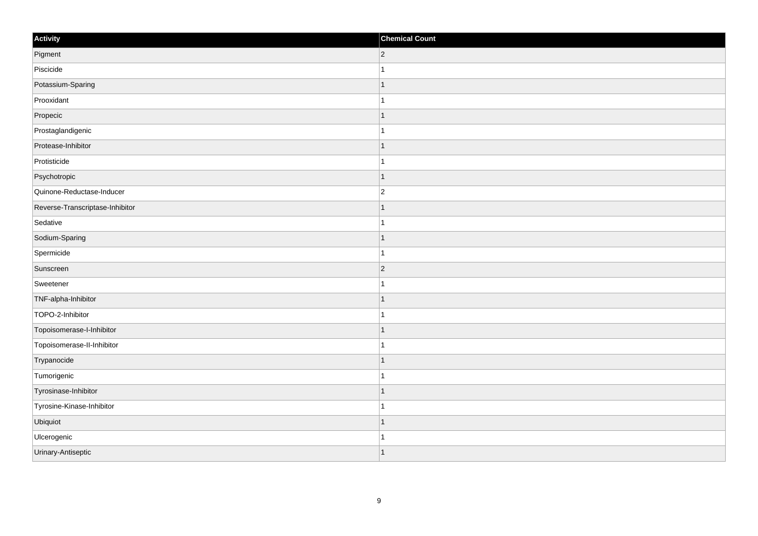| Activity                        | <b>Chemical Count</b> |
|---------------------------------|-----------------------|
| Pigment                         | $ 2\rangle$           |
| Piscicide                       |                       |
| Potassium-Sparing               |                       |
| Prooxidant                      |                       |
| Propecic                        |                       |
| Prostaglandigenic               |                       |
| Protease-Inhibitor              | $\mathbf{1}$          |
| Protisticide                    | $\mathbf{1}$          |
| Psychotropic                    |                       |
| Quinone-Reductase-Inducer       | $\overline{2}$        |
| Reverse-Transcriptase-Inhibitor |                       |
| Sedative                        |                       |
| Sodium-Sparing                  | $\mathbf 1$           |
| Spermicide                      | $\mathbf 1$           |
| Sunscreen                       | $ 2\rangle$           |
| Sweetener                       | $\mathbf{1}$          |
| TNF-alpha-Inhibitor             |                       |
| TOPO-2-Inhibitor                |                       |
| Topoisomerase-I-Inhibitor       | $\mathbf 1$           |
| Topoisomerase-II-Inhibitor      | 1                     |
| Trypanocide                     | $\mathbf 1$           |
| Tumorigenic                     | 1                     |
| Tyrosinase-Inhibitor            | 1                     |
| Tyrosine-Kinase-Inhibitor       | 1                     |
| Ubiquiot                        |                       |
| Ulcerogenic                     |                       |
| Urinary-Antiseptic              | 1                     |